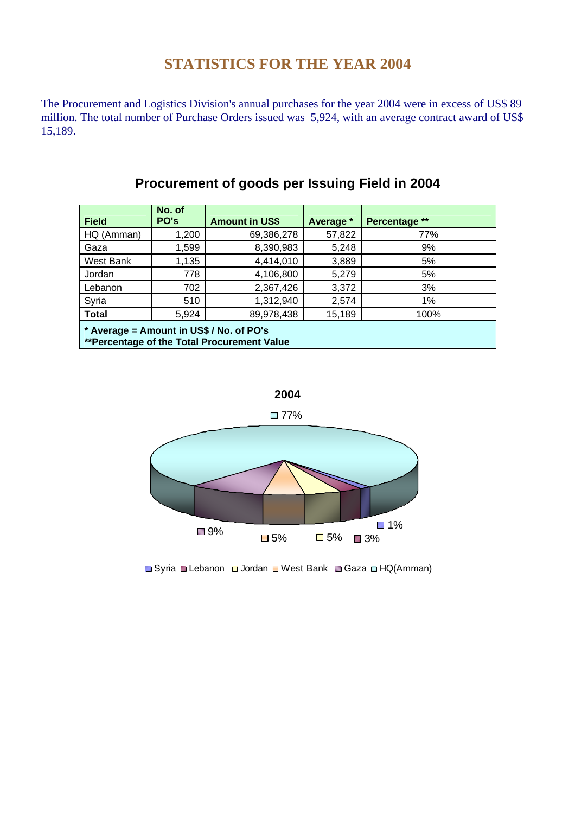## **STATISTICS FOR THE YEAR 2004**

The Procurement and Logistics Division's annual purchases for the year 2004 were in excess of US\$ 89 million. The total number of Purchase Orders issued was 5,924, with an average contract award of US\$ 15,189.

| <b>Field</b>                                                                            | No. of<br>PO's | <b>Amount in US\$</b> | Average * | Percentage ** |  |
|-----------------------------------------------------------------------------------------|----------------|-----------------------|-----------|---------------|--|
| HQ (Amman)                                                                              | 1,200          | 69,386,278            | 57,822    | 77%           |  |
| Gaza                                                                                    | 1,599          | 8,390,983             | 5,248     | 9%            |  |
| West Bank                                                                               | 1,135          | 4,414,010             | 3,889     | 5%            |  |
| Jordan                                                                                  | 778            | 4,106,800             | 5,279     | 5%            |  |
| Lebanon                                                                                 | 702            | 2,367,426             | 3,372     | 3%            |  |
| Syria                                                                                   | 510            | 1,312,940             | 2,574     | 1%            |  |
| <b>Total</b>                                                                            | 5,924          | 89,978,438            | 15,189    | 100%          |  |
| * Average = Amount in US\$ / No. of PO's<br>**Percentage of the Total Procurement Value |                |                       |           |               |  |

## **Procurement of goods per Issuing Field in 2004**





■ Syria ■ Lebanon □ Jordan ■ West Bank ■ Gaza □ HQ(Amman)